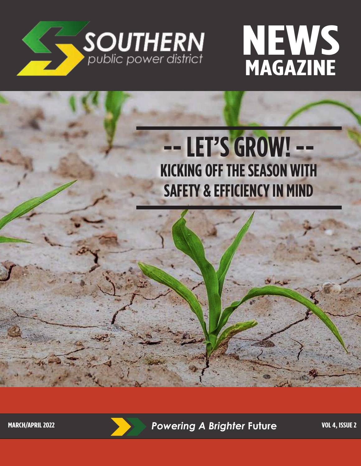



# **-- LET'S GROW! -- KICKING OFF THE SEASON WITH SAFETY & EFFICIENCY IN MIND**

**MARCH/APRIL 2022 Powering A Brighter Future VOL 4, ISSUE 2**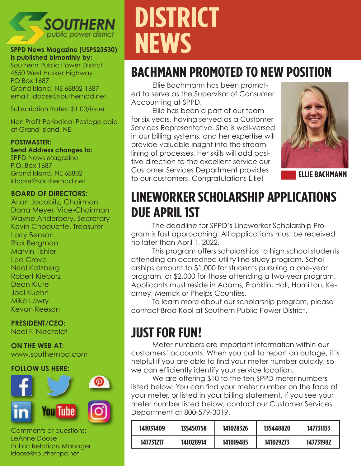

#### **SPPD News Magazine (USPS23530) is published bimonthly by:**

Southern Public Power District 4550 West Husker Highway PO Box 1687 Grand Island, NE 68802-1687 email: ldoose@southernpd.net

Subscription Rates: \$1.00/issue

Non Profit Periodical Postage paid at Grand Island, NE

#### **POSTMASTER:**

**Send Address changes to:** SPPD News Magazine P.O. Box 1687 Grand Island, NE 68802 ldoose@southernpd.net

#### **BOARD OF DIRECTORS:**

Arlon Jacobitz, Chairman Dana Meyer, Vice-Chairman Wayne Anderbery, Secretary Kevin Choquette, Treasurer Larry Benson Rick Bergman Marvin Fishler Lee Grove Neal Katzberg Robert Kieborz Dean Klute Joel Kuehn Mike Lowry Kevan Reeson

#### **PRESIDENT/CEO:**

Neal F. Niedfeldt

#### **ON THE WEB AT:**

www.southernpd.com

#### **FOLLOW US HERE:**



Comments or questions: LeAnne Doose Public Relations Manager ldoose@southernpd.net

# **DISTRICT NEWS**

# **BACHMANN PROMOTED TO NEW POSITION**

Ellie Bachmann has been promoted to serve as the Supervisor of Consumer Accounting at SPPD.

Ellie has been a part of our team for six years, having served as a Customer Services Representative. She is well-versed in our billing systems, and her expertise will provide valuable insight into the streamlining of processes. Her skills will add positive direction to the excellent service our Customer Services Department provides to our customers. Congratulations Ellie! **ELLIE BACHMANN**



# **LINEWORKER SCHOLARSHIP APPLICATIONS DUE APRIL 1ST**

The deadline for SPPD's Lineworker Scholarship Program is fast approaching. All applications must be received no later than April 1, 2022.

This program offers scholarships to high school students attending an accredited utility line study program. Scholarships amount to \$1,000 for students pursuing a one-year program, or \$2,000 for those attending a two-year program. Applicants must reside in Adams, Franklin, Hall, Hamilton, Kearney, Merrick or Phelps Counties.

To learn more about our scholarship program, please contact Brad Kool at Southern Public Power District.

# **JUST FOR FUN!**

Meter numbers are important information within our customers' accounts. When you call to report an outage, it is helpful if you are able to find your meter number quickly, so we can efficiently identify your service location.

We are offering \$10 to the ten SPPD meter numbers listed below. You can find your meter number on the face of your meter, or listed in your billing statement. If you see your meter number listed below, contact our Customer Services Department at 800-579-3019.

| 141031409 | 135450758 | 141028326 | 135448820 | 147731133 |
|-----------|-----------|-----------|-----------|-----------|
| 147731217 | 141028914 | 141019485 | 141029273 | 147731982 |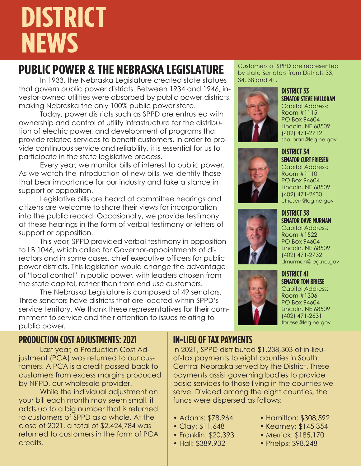# **DISTRICT NEWS**

# **PUBLIC POWER & THE NEBRASKA LEGISLATURE**

In 1933, the Nebraska Legislature created state statues that govern public power districts. Between 1934 and 1946, investor-owned utilities were absorbed by public power districts, making Nebraska the only 100% public power state.

Today, power districts such as SPPD are entrusted with ownership and control of utility infrastructure for the distribution of electric power, and development of programs that provide related services to benefit customers. In order to provide continuous service and reliability, it is essential for us to participate in the state legislative process.

Every year, we monitor bills of interest to public power. As we watch the introduction of new bills, we identify those that bear importance for our industry and take a stance in support or opposition.

Legislative bills are heard at committee hearings and citizens are welcome to share their views for incorporation into the public record. Occasionally, we provide testimony at these hearings in the form of verbal testimony or letters of support or opposition.

This year, SPPD provided verbal testimony in opposition to LB 1046, which called for Governor-appointments of directors and in some cases, chief executive officers for public power districts. This legislation would change the advantage of "local control" in public power, with leaders chosen from the state capitol, rather than from end use customers.

The Nebraska Legislature is composed of 49 senators. Three senators have districts that are located within SPPD's service territory. We thank these representatives for their commitment to service and their attention to issues relating to public power.

## **PRODUCTION COST ADJUSTMENTS: 2021**

Last year, a Production Cost Adjustment (PCA) was returned to our customers. A PCA is a credit passed back to customers from excess margins produced by NPPD, our wholesale provider!

While the individual adjustment on your bill each month may seem small, it adds up to a big number that is returned to customers of SPPD as a whole. At the close of 2021, a total of \$2,424,784 was returned to customers in the form of PCA credits.

## **IN-LIEU OF TAX PAYMENTS**

In 2021, SPPD distributed \$1,238,303 of in-lieuof-tax payments to eight counties in South Central Nebraska served by the District. These payments assist governing bodies to provide basic services to those living in the counties we serve. Divided among the eight counties, the funds were dispersed as follows:

- Adams: \$78,964
- Clay: \$11,648
- Franklin: \$20,393
- Hall: \$389,932

Customers of SPPD are represented by state Senators from Districts 33, 34, 38 and 41.



#### **DISTRICT 33 SENATOR STEVE HALLORAN**

Capitol Address: Room #1115 PO Box 94604 Lincoln, NE 68509 (402) 471-2712 shalloran@leg.ne.gov





**DISTRICT 34**

# **DISTRICT 38 SENATOR DAVE MURMAN**

Capitol Address: Room #1522 PO Box 94604 Lincoln, NE 68509 (402) 471-2732 dmurman@leg.ne.gov



#### **DISTRICT 41 SENATOR TOM BRIESE** Capitol Address: Room #1306

PO Box 94604 Lincoln, NE 68509 (402) 471-2631 tbriese@leg.ne.gov

- Hamilton: \$308,592
- Kearney: \$145,354
- Merrick: \$185,170
- Phelps: \$98,248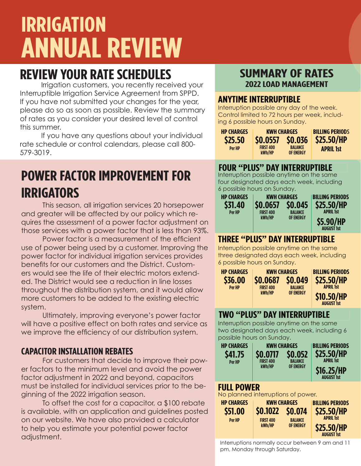# **IRRIGATION ANNUAL REVIEW**

# **REVIEW YOUR RATE SCHEDULES**

Irrigation customers, you recently received your Interruptible Irrigation Service Agreement from SPPD. If you have not submitted your changes for the year, please do so as soon as possible. Review the summary of rates as you consider your desired level of control this summer.

If you have any questions about your individual rate schedule or control calendars, please call 800- 579-3019.

# **POWER FACTOR IMPROVEMENT FOR IRRIGATORS**

This season, all irrigation services 20 horsepower and greater will be affected by our policy which requires the assessment of a power factor adjustment on those services with a power factor that is less than 93%.

Power factor is a measurement of the efficient use of power being used by a customer. Improving the power factor for individual irrigation services provides benefits for our customers and the District. Customers would see the life of their electric motors extended. The District would see a reduction in line losses throughout the distribution system, and it would allow more customers to be added to the existing electric system.

Ultimately, improving everyone's power factor will have a positive effect on both rates and service as we improve the efficiency of our distribution system.

## **CAPACITOR INSTALLATION REBATES**

For customers that decide to improve their power factors to the minimum level and avoid the power factor adjustment in 2022 and beyond, capacitors must be installed for individual services prior to the beginning of the 2022 irrigation season.

To offset the cost for a capacitor, a \$100 rebate is available, with an application and guidelines posted on our website. We have also provided a calculator to help you estimate your potential power factor adjustment.

# **SUMMARY OF RATES 2022 LOAD MANAGEMENT**

### **ANYTIME INTERRUPTIBLE**

Interruption possible any day of the week. Control limited to 72 hours per week, including 6 possible hours on Sunday.

| <b>HP CHARGES</b> | <b>KWH CHARGES</b> |                | <b>BILLING PERIODS</b>             |  |
|-------------------|--------------------|----------------|------------------------------------|--|
| \$25.50<br>Per HP | <b>FIRST 400</b>   | <b>BALANCE</b> | <b>\$0.0557 \$0.036 \$25.50/HP</b> |  |
|                   | kWh/HP             | OF ENERGY      | <b>APRIL 1st</b>                   |  |

#### **FOUR "PLUS" DAY INTERRUPTIBLE**

Interruption possible anytime on the same four designated days each week, including 6 possible hours on Sunday.



## **THREE "PLUS" DAY INTERRUPTIBLE**

Interruption possible anytime on the same three designated days each week, including 6 possible hours on Sunday.

| <b>HP CHARGES</b> | <b>KWH CHARGES</b>                     | <b>BILLING PERIODS</b>                       |                                                                          |
|-------------------|----------------------------------------|----------------------------------------------|--------------------------------------------------------------------------|
| \$36.00<br>Per HP | \$0.0687<br><b>FIRST 400</b><br>kWh/HP | <b>SO.049</b><br><b>BALANCE</b><br>OF ENERGY | <b>\$25.50/HP</b><br><b>APRIL 1st</b><br>\$10.50/HP<br><b>AUGUST 1st</b> |

## **TWO "PLUS" DAY INTERRUPTIBLE**

Interruption possible anytime on the same two designated days each week, including 6 possible hours on Sunday.

| <b>HP CHARGES</b><br>\$41.75<br><b>Per HP</b>           | <b>KWH CHARGES</b><br>\$0.0717<br><b>FIRST 400</b><br>kWh/HP              | \$0.052<br><b>BALANCE</b><br><b>OF ENERGY</b> | <b>BILLING PERIODS</b><br>\$25.50/HP<br><b>APRIL 1st</b><br>\$16.25/HP<br><b>AUGUST 1st</b> |
|---------------------------------------------------------|---------------------------------------------------------------------------|-----------------------------------------------|---------------------------------------------------------------------------------------------|
| <b>FULL POWER</b><br>No planned interruptions of power. |                                                                           |                                               |                                                                                             |
| <b>HP CHARGES</b><br>\$51.00<br><b>Per HP</b>           | <b>KWH CHARGES</b><br><b>SO.1022 SO.074</b><br><b>FIRST 400</b><br>kWh/HP | <b>BALANCE</b><br><b>OF ENERGY</b>            | <b>BILLING PERIODS</b><br>\$25.50/HP<br><b>APRIL 1st</b><br><b>\$25.50/HP</b>               |

Interruptions normally occur between 9 am and 11 pm, Monday through Saturday.

**AUGUST 1st**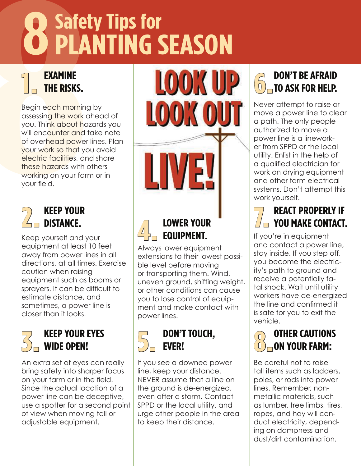# **Safety Tips for PLANTING SEASON**<br> **BEGIN CONTROVER SEASON**<br> **BEGIN CONTROVER SEASON**<br> **BEGIN CONTROVER SEASON**<br> **BEGIN CONTROVER SEASON**<br> **SEASON CONTROVER SEASON**<br> **SEASON CONTROVER STAND ON SURPHER SPACE (SURPHER SPACE SPACE these haza 8** PLANTING SEASON

## **EXAMINE THE RISKS. 1.**

Begin each morning by assessing the work ahead of you. Think about hazards you will encounter and take note of overhead power lines. Plan your work so that you avoid electric facilities, and share these hazards with others working on your farm or in your field.

# **KEEP YOUR 2. DISTANCE.**

Keep yourself and your equipment at least 10 feet away from power lines in all directions, at all times. Exercise caution when raising equipment such as booms or sprayers. It can be difficult to estimate distance, and sometimes, a power line is closer than it looks.

# **KEEP YOUR EYES 3. WIDE OPEN!**

An extra set of eyes can really bring safety into sharper focus on your farm or in the field. Since the actual location of a power line can be deceptive, use a spotter for a second point of view when moving tall or adjustable equipment.

**LOWER YOUR** 

# **EQUIPMENT. 4.**

Always lower equipment extensions to their lowest possible level before moving or transporting them. Wind, uneven ground, shifting weight, or other conditions can cause you to lose control of equipment and make contact with power lines.

## **DON'T TOUCH, EVER! 5.**

If you see a downed power line, keep your distance. NEVER assume that a line on the ground is de-energized, even after a storm. Contact SPPD or the local utility, and urge other people in the area to keep their distance.

## **DON'T BE AFRAID TO ASK FOR HELP. 6.**

Never attempt to raise or move a power line to clear a path. The only people authorized to move a power line is a lineworker from SPPD or the local utility. Enlist in the help of a qualified electrician for work on drying equipment and other farm electrical systems. Don't attempt this work yourself.

# **REACT PROPERLY IF THE REACT PROPERLY IF<br>THE YOU MAKE CONTACT.**

If you're in equipment and contact a power line, stay inside. If you step off, you become the electricity's path to ground and receive a potentially fatal shock. Wait until utility workers have de-energized the line and confirmed it is safe for you to exit the vehicle.

## **OTHER CAUTIONS ON YOUR FARM: 8.**

Be careful not to raise tall items such as ladders, poles, or rods into power lines. Remember, nonmetallic materials, such as lumber, tree limbs, tires, ropes, and hay will conduct electricity, depending on dampness and dust/dirt contamination.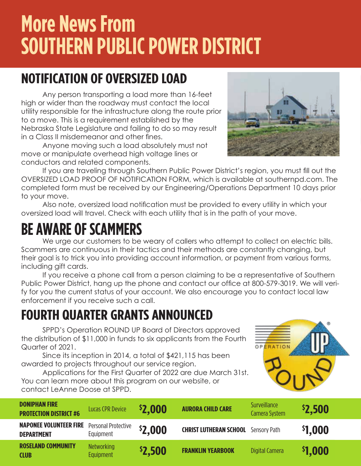# **More News From SOUTHERN PUBLIC POWER DISTRICT**

# **NOTIFICATION OF OVERSIZED LOAD**

Any person transporting a load more than 16-feet high or wider than the roadway must contact the local utility responsible for the infrastructure along the route prior to a move. This is a requirement established by the Nebraska State Legislature and failing to do so may result in a Class II misdemeanor and other fines.

Anyone moving such a load absolutely must not move or manipulate overhead high voltage lines or conductors and related components.

If you are traveling through Southern Public Power District's region, you must fill out the OVERSIZED LOAD PROOF OF NOTIFICATION FORM, which is available at southernpd.com. The completed form must be received by our Engineering/Operations Department 10 days prior to your move.

Also note, oversized load notification must be provided to every utility in which your oversized load will travel. Check with each utility that is in the path of your move.

# **BE AWARE OF SCAMMERS**

We urge our customers to be weary of callers who attempt to collect on electric bills. Scammers are continuous in their tactics and their methods are constantly changing, but their goal is to trick you into providing account information, or payment from various forms, including gift cards.

If you receive a phone call from a person claiming to be a representative of Southern Public Power District, hang up the phone and contact our office at 800-579-3019. We will verify for you the current status of your account. We also encourage you to contact local law enforcement if you receive such a call.

# **FOURTH QUARTER GRANTS ANNOUNCED**

SPPD's Operation ROUND UP Board of Directors approved the distribution of \$11,000 in funds to six applicants from the Fourth Quarter of 2021.

Since its inception in 2014, a total of \$421,115 has been awarded to projects throughout our service region.

Applications for the First Quarter of 2022 are due March 31st. You can learn more about this program on our website, or contact LeAnne Doose at SPPD.

| <b>DONIPHAN FIRE</b><br><b>PROTECTION DISTRICT #6</b> | <b>Lucas CPR Device</b>               | <b>\$2,000</b> | <b>AURORA CHILD CARE</b>                   | <b>Surveillance</b><br>Camera System | \$2,500 |
|-------------------------------------------------------|---------------------------------------|----------------|--------------------------------------------|--------------------------------------|---------|
| <b>NAPONEE VOLUNTEER FIRE</b><br><b>DEPARTMENT</b>    | Personal Protective<br>Equipment      | \$2,000        | <b>CHRIST LUTHERAN SCHOOL</b> Sensory Path |                                      | \$1,000 |
| <b>ROSELAND COMMUNITY</b><br><b>CLUB</b>              | <b>Networking</b><br><b>Equipment</b> | <b>\$2,500</b> | <b>FRANKLIN YEARBOOK</b>                   | Digital Camera                       | \$1,000 |



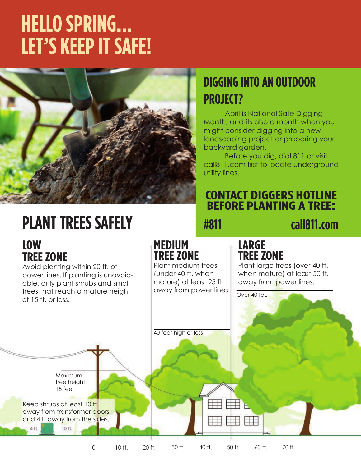# **HELLO SPRING... LET'S KEEP IT SAFE!**



# **DIGGING INTO AN OUTDOOR PROJECT?**

April is National Safe Digging Month, and its also a month when you might consider digging into a new landscaping project or preparing your backyard garden.

Before you dig, dial 811 or visit call811.com first to locate underground utility lines.

# **CONTACT DIGGERS HOTLINE BEFORE PLANTING A TREE:**

# **PLANT TREES SAFELY #811 degree at \$4811.com**

# **LOW TREE ZONE**

Avoid planting within 20 ft. of power lines. If planting is unavoidable, only plant shrubs and small trees that reach a mature height of 15 ft. or less.

 $10.ft$ 

# **MEDIUM TREE ZONE**

Plant medium trees (under 40 ft. when mature) at least 25 ft

# **LARGE TREE ZONE**

Plant large trees (over 40 ft. when mature) at least 50 ft. away from power lines.

away from power lines. Over 40 feet 40 feet high or less Maximum tree height 15 feet  $\pm$ Keep shrubs at least 10 ft. away from transformer doors and 4 ft away from the sides.

0 10 ft. 20 ft. 30 ft. 40 ft. 50 ft. 60 ft. 70 ft.